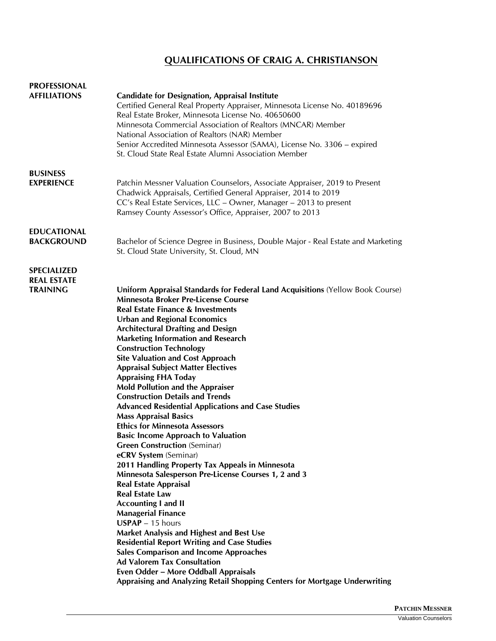## **QUALIFICATIONS OF CRAIG A. CHRISTIANSON**

| <b>PROFESSIONAL</b>                                         |                                                                                                                                                                                                                                                                                                                                                                                                                                                                                                                                                                                                                                                                                                                                                                                                                                                                                                                                                                                                                                                                                                                                                                                                                                                                                                                                                                                    |
|-------------------------------------------------------------|------------------------------------------------------------------------------------------------------------------------------------------------------------------------------------------------------------------------------------------------------------------------------------------------------------------------------------------------------------------------------------------------------------------------------------------------------------------------------------------------------------------------------------------------------------------------------------------------------------------------------------------------------------------------------------------------------------------------------------------------------------------------------------------------------------------------------------------------------------------------------------------------------------------------------------------------------------------------------------------------------------------------------------------------------------------------------------------------------------------------------------------------------------------------------------------------------------------------------------------------------------------------------------------------------------------------------------------------------------------------------------|
| <b>AFFILIATIONS</b>                                         | <b>Candidate for Designation, Appraisal Institute</b><br>Certified General Real Property Appraiser, Minnesota License No. 40189696<br>Real Estate Broker, Minnesota License No. 40650600<br>Minnesota Commercial Association of Realtors (MNCAR) Member<br>National Association of Realtors (NAR) Member<br>Senior Accredited Minnesota Assessor (SAMA), License No. 3306 – expired<br>St. Cloud State Real Estate Alumni Association Member                                                                                                                                                                                                                                                                                                                                                                                                                                                                                                                                                                                                                                                                                                                                                                                                                                                                                                                                       |
| <b>BUSINESS</b><br><b>EXPERIENCE</b>                        | Patchin Messner Valuation Counselors, Associate Appraiser, 2019 to Present<br>Chadwick Appraisals, Certified General Appraiser, 2014 to 2019<br>CC's Real Estate Services, LLC - Owner, Manager - 2013 to present<br>Ramsey County Assessor's Office, Appraiser, 2007 to 2013                                                                                                                                                                                                                                                                                                                                                                                                                                                                                                                                                                                                                                                                                                                                                                                                                                                                                                                                                                                                                                                                                                      |
| <b>EDUCATIONAL</b><br><b>BACKGROUND</b>                     | Bachelor of Science Degree in Business, Double Major - Real Estate and Marketing<br>St. Cloud State University, St. Cloud, MN                                                                                                                                                                                                                                                                                                                                                                                                                                                                                                                                                                                                                                                                                                                                                                                                                                                                                                                                                                                                                                                                                                                                                                                                                                                      |
| <b>SPECIALIZED</b><br><b>REAL ESTATE</b><br><b>TRAINING</b> | Uniform Appraisal Standards for Federal Land Acquisitions (Yellow Book Course)<br><b>Minnesota Broker Pre-License Course</b><br><b>Real Estate Finance &amp; Investments</b><br><b>Urban and Regional Economics</b><br><b>Architectural Drafting and Design</b><br><b>Marketing Information and Research</b><br><b>Construction Technology</b><br><b>Site Valuation and Cost Approach</b><br><b>Appraisal Subject Matter Electives</b><br><b>Appraising FHA Today</b><br><b>Mold Pollution and the Appraiser</b><br><b>Construction Details and Trends</b><br><b>Advanced Residential Applications and Case Studies</b><br><b>Mass Appraisal Basics</b><br><b>Ethics for Minnesota Assessors</b><br><b>Basic Income Approach to Valuation</b><br><b>Green Construction (Seminar)</b><br>eCRV System (Seminar)<br>2011 Handling Property Tax Appeals in Minnesota<br>Minnesota Salesperson Pre-License Courses 1, 2 and 3<br><b>Real Estate Appraisal</b><br><b>Real Estate Law</b><br><b>Accounting I and II</b><br><b>Managerial Finance</b><br>$USPAP - 15$ hours<br>Market Analysis and Highest and Best Use<br><b>Residential Report Writing and Case Studies</b><br><b>Sales Comparison and Income Approaches</b><br><b>Ad Valorem Tax Consultation</b><br>Even Odder - More Oddball Appraisals<br>Appraising and Analyzing Retail Shopping Centers for Mortgage Underwriting |